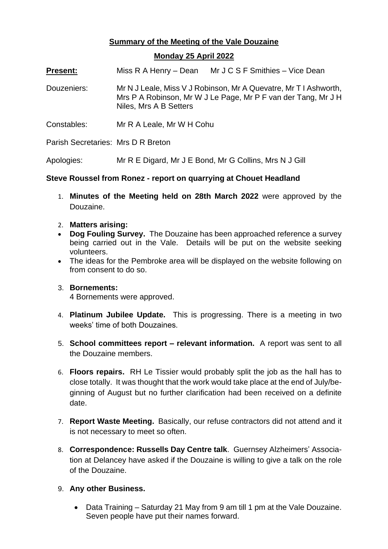## **Summary of the Meeting of the Vale Douzaine**

## **Monday 25 April 2022**

**Present:** Miss R A Henry – Dean Mr J C S F Smithies – Vice Dean

- Douzeniers: Mr N J Leale, Miss V J Robinson, Mr A Quevatre, Mr T I Ashworth, Mrs P A Robinson, Mr W J Le Page, Mr P F van der Tang, Mr J H Niles, Mrs A B Setters
- Constables: Mr R A Leale, Mr W H Cohu

Parish Secretaries: Mrs D R Breton

Apologies: Mr R E Digard, Mr J E Bond, Mr G Collins, Mrs N J Gill

## **Steve Roussel from Ronez - report on quarrying at Chouet Headland**

- 1. **Minutes of the Meeting held on 28th March 2022** were approved by the Douzaine.
- 2. **Matters arising:**
- **Dog Fouling Survey.** The Douzaine has been approached reference a survey being carried out in the Vale. Details will be put on the website seeking volunteers.
- The ideas for the Pembroke area will be displayed on the website following on from consent to do so.

## 3. **Bornements:**

4 Bornements were approved.

- 4. **Platinum Jubilee Update.** This is progressing. There is a meeting in two weeks' time of both Douzaines.
- 5. **School committees report – relevant information.** A report was sent to all the Douzaine members.
- 6. **Floors repairs.** RH Le Tissier would probably split the job as the hall has to close totally. It was thought that the work would take place at the end of July/beginning of August but no further clarification had been received on a definite date.
- 7. **Report Waste Meeting.** Basically, our refuse contractors did not attend and it is not necessary to meet so often.
- 8. **Correspondence: Russells Day Centre talk**. Guernsey Alzheimers' Association at Delancey have asked if the Douzaine is willing to give a talk on the role of the Douzaine.
- 9. **Any other Business.**
	- Data Training Saturday 21 May from 9 am till 1 pm at the Vale Douzaine. Seven people have put their names forward.